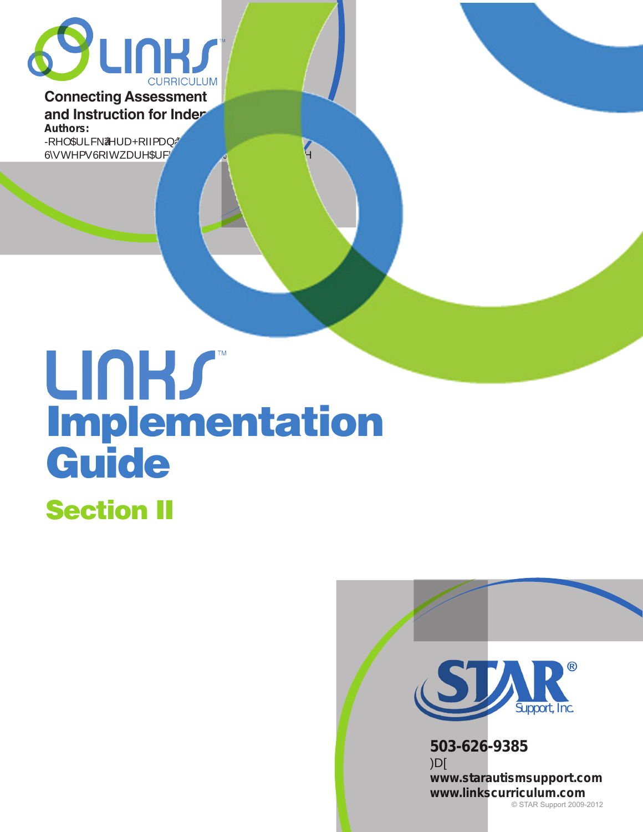

#### **Connecting Assessment and Instruction for Inder Authors:**

**-RHO\$ULFN‡7HUD+RIPDQ‡.DU0DJH\$ULFN** 6**KW** 

# UNHS Implementation Guide

# Section II



**www.starautismsupport.com www.linkscurriculum.com** © STAR Support 2009-2012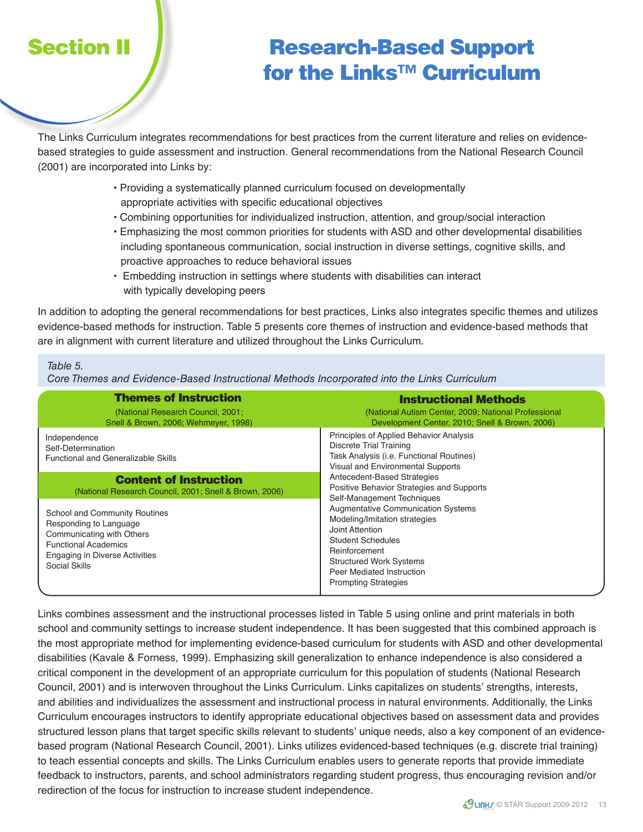## Section II / Research-Based Support for the Links™ Curriculum

The Links Curriculum integrates recommendations for best practices from the current literature and relies on evidencebased strategies to guide assessment and instruction. General recommendations from the National Research Council (2001) are incorporated into Links by:

- Providing a systematically planned curriculum focused on developmentally appropriate activities with specific educational objectives
- Combining opportunities for individualized instruction, attention, and group/social interaction
- Emphasizing the most common priorities for students with ASD and other developmental disabilities including spontaneous communication, social instruction in diverse settings, cognitive skills, and proactive approaches to reduce behavioral issues
- Embedding instruction in settings where students with disabilities can interact with typically developing peers

In addition to adopting the general recommendations for best practices, Links also integrates specific themes and utilizes evidence-based methods for instruction. Table 5 presents core themes of instruction and evidence-based methods that are in alignment with current literature and utilized throughout the Links Curriculum.

#### Table 5.

Core Themes and Evidence-Based Instructional Methods Incorporated into the Links Curriculum

| <b>Themes of Instruction</b><br>(National Research Council, 2001;<br>Snell & Brown, 2006; Wehmeyer, 1998).                                                                    | <b>Instructional Methods</b><br>(National Autism Center, 2009; National Professional<br>Development Center, 2010; Snell & Brown, 2006)                                                                                                                                                                                                                                                                                                                                                                    |
|-------------------------------------------------------------------------------------------------------------------------------------------------------------------------------|-----------------------------------------------------------------------------------------------------------------------------------------------------------------------------------------------------------------------------------------------------------------------------------------------------------------------------------------------------------------------------------------------------------------------------------------------------------------------------------------------------------|
| Independence<br>Self-Determination<br><b>Functional and Generalizable Skills</b>                                                                                              | Principles of Applied Behavior Analysis<br>Discrete Trial Training<br>Task Analysis (i.e. Functional Routines)<br>Visual and Environmental Supports<br>Antecedent-Based Strategies<br>Positive Behavior Strategies and Supports<br>Self-Management Techniques<br><b>Augmentative Communication Systems</b><br>Modeling/Imitation strategies<br>Joint Attention<br><b>Student Schedules</b><br>Reinforcement<br><b>Structured Work Systems</b><br>Peer Mediated Instruction<br><b>Prompting Strategies</b> |
| <b>Content of Instruction</b><br>(National Research Council, 2001; Snell & Brown, 2006)                                                                                       |                                                                                                                                                                                                                                                                                                                                                                                                                                                                                                           |
| School and Community Routines<br>Responding to Language<br>Communicating with Others<br><b>Functional Academics</b><br><b>Engaging in Diverse Activities</b><br>Social Skills |                                                                                                                                                                                                                                                                                                                                                                                                                                                                                                           |

Links combines assessment and the instructional processes listed in Table 5 using online and print materials in both school and community settings to increase student independence. It has been suggested that this combined approach is the most appropriate method for implementing evidence-based curriculum for students with ASD and other developmental disabilities (Kavale & Forness, 1999). Emphasizing skill generalization to enhance independence is also considered a critical component in the development of an appropriate curriculum for this population of students (National Research Council, 2001) and is interwoven throughout the Links Curriculum. Links capitalizes on students' strengths, interests, and abilities and individualizes the assessment and instructional process in natural environments. Additionally, the Links Curriculum encourages instructors to identify appropriate educational objectives based on assessment data and provides structured lesson plans that target specific skills relevant to students' unique needs, also a key component of an evidencebased program (National Research Council, 2001). Links utilizes evidenced-based techniques (e.g. discrete trial training) to teach essential concepts and skills. The Links Curriculum enables users to generate reports that provide immediate feedback to instructors, parents, and school administrators regarding student progress, thus encouraging revision and/or redirection of the focus for instruction to increase student independence.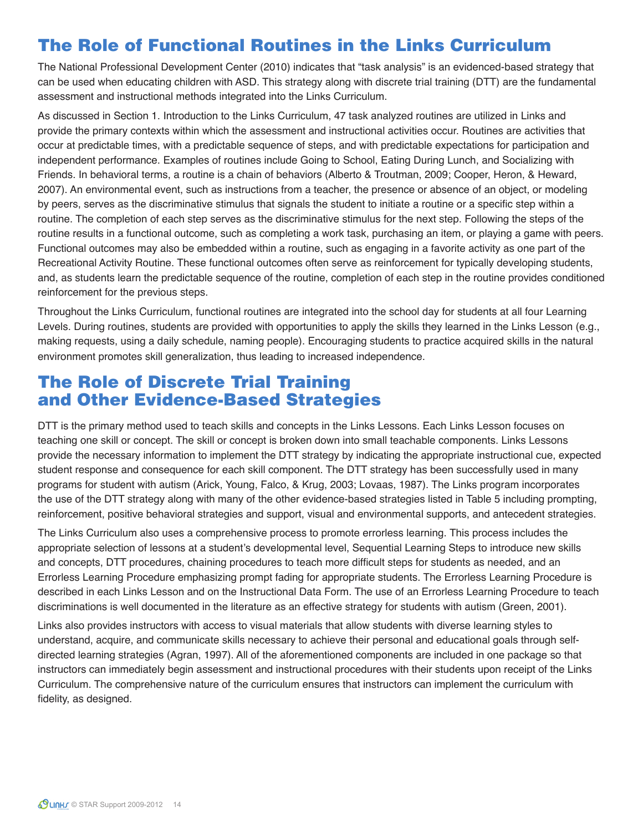### The Role of Functional Routines in the Links Curriculum

The National Professional Development Center (2010) indicates that "task analysis" is an evidenced-based strategy that can be used when educating children with ASD. This strategy along with discrete trial training (DTT) are the fundamental assessment and instructional methods integrated into the Links Curriculum.

As discussed in Section 1. Introduction to the Links Curriculum, 47 task analyzed routines are utilized in Links and provide the primary contexts within which the assessment and instructional activities occur. Routines are activities that occur at predictable times, with a predictable sequence of steps, and with predictable expectations for participation and independent performance. Examples of routines include Going to School, Eating During Lunch, and Socializing with Friends. In behavioral terms, a routine is a chain of behaviors (Alberto & Troutman, 2009; Cooper, Heron, & Heward, 2007). An environmental event, such as instructions from a teacher, the presence or absence of an object, or modeling by peers, serves as the discriminative stimulus that signals the student to initiate a routine or a specific step within a routine. The completion of each step serves as the discriminative stimulus for the next step. Following the steps of the routine results in a functional outcome, such as completing a work task, purchasing an item, or playing a game with peers. Functional outcomes may also be embedded within a routine, such as engaging in a favorite activity as one part of the Recreational Activity Routine. These functional outcomes often serve as reinforcement for typically developing students, and, as students learn the predictable sequence of the routine, completion of each step in the routine provides conditioned reinforcement for the previous steps.

Throughout the Links Curriculum, functional routines are integrated into the school day for students at all four Learning Levels. During routines, students are provided with opportunities to apply the skills they learned in the Links Lesson (e.g., making requests, using a daily schedule, naming people). Encouraging students to practice acquired skills in the natural environment promotes skill generalization, thus leading to increased independence.

#### The Role of Discrete Trial Training and Other Evidence-Based Strategies

DTT is the primary method used to teach skills and concepts in the Links Lessons. Each Links Lesson focuses on teaching one skill or concept. The skill or concept is broken down into small teachable components. Links Lessons provide the necessary information to implement the DTT strategy by indicating the appropriate instructional cue, expected student response and consequence for each skill component. The DTT strategy has been successfully used in many programs for student with autism (Arick, Young, Falco, & Krug, 2003; Lovaas, 1987). The Links program incorporates the use of the DTT strategy along with many of the other evidence-based strategies listed in Table 5 including prompting, reinforcement, positive behavioral strategies and support, visual and environmental supports, and antecedent strategies.

The Links Curriculum also uses a comprehensive process to promote errorless learning. This process includes the appropriate selection of lessons at a student's developmental level, Sequential Learning Steps to introduce new skills and concepts, DTT procedures, chaining procedures to teach more difficult steps for students as needed, and an Errorless Learning Procedure emphasizing prompt fading for appropriate students. The Errorless Learning Procedure is described in each Links Lesson and on the Instructional Data Form. The use of an Errorless Learning Procedure to teach discriminations is well documented in the literature as an effective strategy for students with autism (Green, 2001).

Links also provides instructors with access to visual materials that allow students with diverse learning styles to understand, acquire, and communicate skills necessary to achieve their personal and educational goals through selfdirected learning strategies (Agran, 1997). All of the aforementioned components are included in one package so that instructors can immediately begin assessment and instructional procedures with their students upon receipt of the Links Curriculum. The comprehensive nature of the curriculum ensures that instructors can implement the curriculum with fidelity, as designed.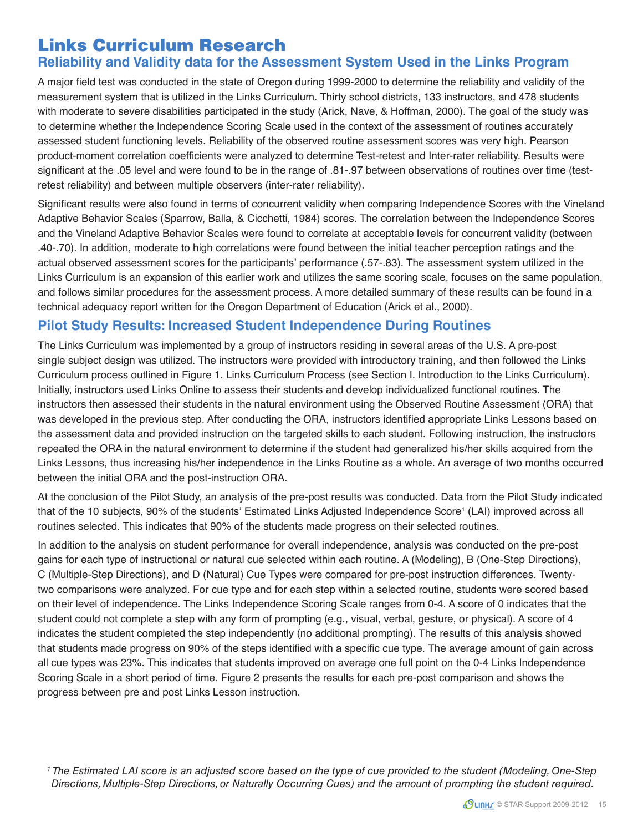#### Links Curriculum Research

#### **Reliability and Validity data for the Assessment System Used in the Links Program**

A major field test was conducted in the state of Oregon during 1999-2000 to determine the reliability and validity of the measurement system that is utilized in the Links Curriculum. Thirty school districts, 133 instructors, and 478 students with moderate to severe disabilities participated in the study (Arick, Nave, & Hoffman, 2000). The goal of the study was to determine whether the Independence Scoring Scale used in the context of the assessment of routines accurately assessed student functioning levels. Reliability of the observed routine assessment scores was very high. Pearson product-moment correlation coefficients were analyzed to determine Test-retest and Inter-rater reliability. Results were significant at the .05 level and were found to be in the range of .81-.97 between observations of routines over time (testretest reliability) and between multiple observers (inter-rater reliability).

Significant results were also found in terms of concurrent validity when comparing Independence Scores with the Vineland Adaptive Behavior Scales (Sparrow, Balla, & Cicchetti, 1984) scores. The correlation between the Independence Scores and the Vineland Adaptive Behavior Scales were found to correlate at acceptable levels for concurrent validity (between .40-.70). In addition, moderate to high correlations were found between the initial teacher perception ratings and the actual observed assessment scores for the participants' performance (.57-.83). The assessment system utilized in the Links Curriculum is an expansion of this earlier work and utilizes the same scoring scale, focuses on the same population, and follows similar procedures for the assessment process. A more detailed summary of these results can be found in a technical adequacy report written for the Oregon Department of Education (Arick et al., 2000).

#### **Pilot Study Results: Increased Student Independence During Routines**

The Links Curriculum was implemented by a group of instructors residing in several areas of the U.S. A pre-post single subject design was utilized. The instructors were provided with introductory training, and then followed the Links Curriculum process outlined in Figure 1. Links Curriculum Process (see Section I. Introduction to the Links Curriculum). Initially, instructors used Links Online to assess their students and develop individualized functional routines. The instructors then assessed their students in the natural environment using the Observed Routine Assessment (ORA) that was developed in the previous step. After conducting the ORA, instructors identified appropriate Links Lessons based on the assessment data and provided instruction on the targeted skills to each student. Following instruction, the instructors repeated the ORA in the natural environment to determine if the student had generalized his/her skills acquired from the Links Lessons, thus increasing his/her independence in the Links Routine as a whole. An average of two months occurred between the initial ORA and the post-instruction ORA.

At the conclusion of the Pilot Study, an analysis of the pre-post results was conducted. Data from the Pilot Study indicated that of the 10 subjects, 90% of the students' Estimated Links Adjusted Independence Score<sup>1</sup> (LAI) improved across all routines selected. This indicates that 90% of the students made progress on their selected routines.

In addition to the analysis on student performance for overall independence, analysis was conducted on the pre-post gains for each type of instructional or natural cue selected within each routine. A (Modeling), B (One-Step Directions), C (Multiple-Step Directions), and D (Natural) Cue Types were compared for pre-post instruction differences. Twentytwo comparisons were analyzed. For cue type and for each step within a selected routine, students were scored based on their level of independence. The Links Independence Scoring Scale ranges from 0-4. A score of 0 indicates that the student could not complete a step with any form of prompting (e.g., visual, verbal, gesture, or physical). A score of 4 indicates the student completed the step independently (no additional prompting). The results of this analysis showed that students made progress on 90% of the steps identified with a specific cue type. The average amount of gain across all cue types was 23%. This indicates that students improved on average one full point on the 0-4 Links Independence Scoring Scale in a short period of time. Figure 2 presents the results for each pre-post comparison and shows the progress between pre and post Links Lesson instruction.

1 The Estimated LAI score is an adjusted score based on the type of cue provided to the student (Modeling, One-Step Directions, Multiple-Step Directions, or Naturally Occurring Cues) and the amount of prompting the student required.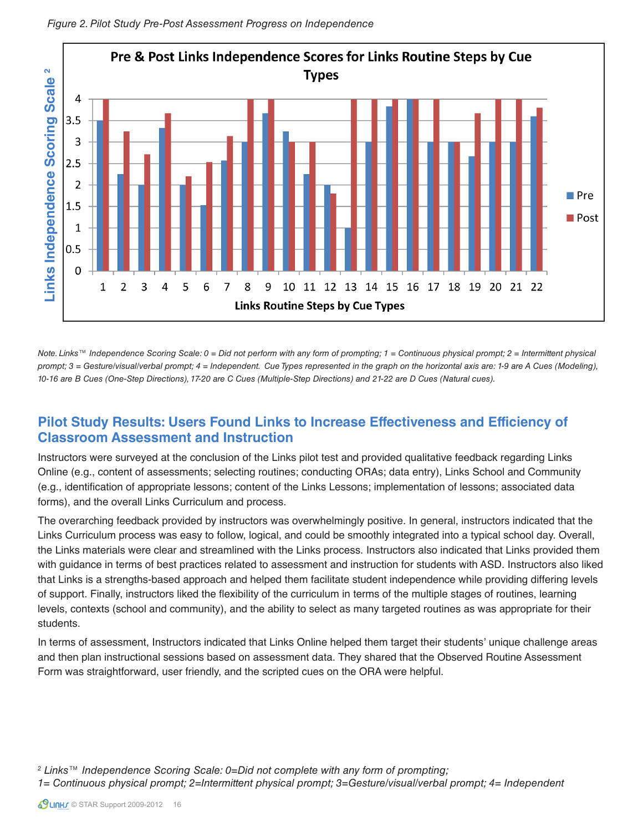

Figure 2. Pilot Study Pre-Post Assessment Progress on Independence

Note. Links™ Independence Scoring Scale: 0 = Did not perform with any form of prompting; 1 = Continuous physical prompt; 2 = Intermittent physical prompt; 3 = Gesture/visual/verbal prompt; 4 = Independent. Cue Types represented in the graph on the horizontal axis are: 1-9 are A Cues (Modeling), 10-16 are B Cues (One-Step Directions), 17-20 are C Cues (Multiple-Step Directions) and 21-22 are D Cues (Natural cues).

#### **Pilot Study Results: Users Found Links to Increase Effectiveness and Efficiency of Classroom Assessment and Instruction**

Instructors were surveyed at the conclusion of the Links pilot test and provided qualitative feedback regarding Links Online (e.g., content of assessments; selecting routines; conducting ORAs; data entry), Links School and Community (e.g., identification of appropriate lessons; content of the Links Lessons; implementation of lessons; associated data forms), and the overall Links Curriculum and process.

The overarching feedback provided by instructors was overwhelmingly positive. In general, instructors indicated that the Links Curriculum process was easy to follow, logical, and could be smoothly integrated into a typical school day. Overall, the Links materials were clear and streamlined with the Links process. Instructors also indicated that Links provided them with guidance in terms of best practices related to assessment and instruction for students with ASD. Instructors also liked that Links is a strengths-based approach and helped them facilitate student independence while providing differing levels of support. Finally, instructors liked the flexibility of the curriculum in terms of the multiple stages of routines, learning levels, contexts (school and community), and the ability to select as many targeted routines as was appropriate for their students.

In terms of assessment, Instructors indicated that Links Online helped them target their students' unique challenge areas and then plan instructional sessions based on assessment data. They shared that the Observed Routine Assessment Form was straightforward, user friendly, and the scripted cues on the ORA were helpful.

2 Links™ Independence Scoring Scale: 0=Did not complete with any form of prompting;